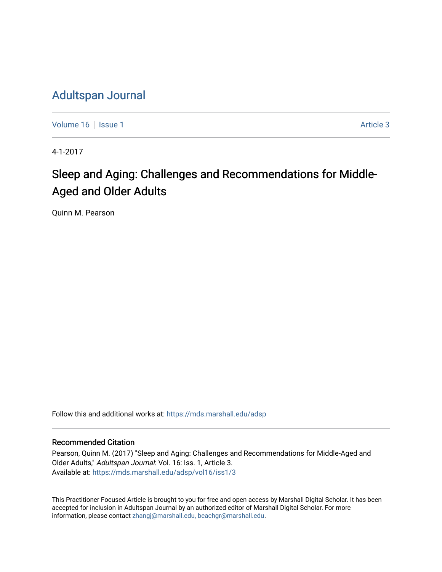# [Adultspan Journal](https://mds.marshall.edu/adsp)

[Volume 16](https://mds.marshall.edu/adsp/vol16) September 19 | [Issue 1](https://mds.marshall.edu/adsp/vol16/iss1) Article 3

4-1-2017

# Sleep and Aging: Challenges and Recommendations for Middle-Aged and Older Adults

Quinn M. Pearson

Follow this and additional works at: [https://mds.marshall.edu/adsp](https://mds.marshall.edu/adsp?utm_source=mds.marshall.edu%2Fadsp%2Fvol16%2Fiss1%2F3&utm_medium=PDF&utm_campaign=PDFCoverPages) 

### Recommended Citation

Pearson, Quinn M. (2017) "Sleep and Aging: Challenges and Recommendations for Middle-Aged and Older Adults," Adultspan Journal: Vol. 16: Iss. 1, Article 3. Available at: [https://mds.marshall.edu/adsp/vol16/iss1/3](https://mds.marshall.edu/adsp/vol16/iss1/3?utm_source=mds.marshall.edu%2Fadsp%2Fvol16%2Fiss1%2F3&utm_medium=PDF&utm_campaign=PDFCoverPages) 

This Practitioner Focused Article is brought to you for free and open access by Marshall Digital Scholar. It has been accepted for inclusion in Adultspan Journal by an authorized editor of Marshall Digital Scholar. For more information, please contact [zhangj@marshall.edu, beachgr@marshall.edu](mailto:zhangj@marshall.edu,%20beachgr@marshall.edu).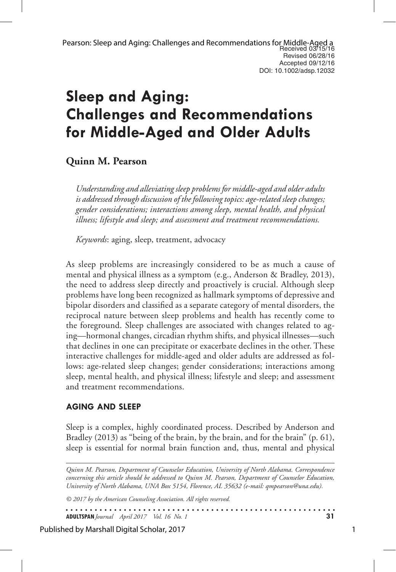# **Sleep and Aging: Challenges and Recommendations for Middle-Aged and Older Adults**

# **Quinn M. Pearson**

*Understanding and alleviating sleep problems for middle-aged and older adults is addressed through discussion of the following topics: age-related sleep changes; gender considerations; interactions among sleep, mental health, and physical illness; lifestyle and sleep; and assessment and treatment recommendations.*

*Keywords*: aging, sleep, treatment, advocacy

As sleep problems are increasingly considered to be as much a cause of mental and physical illness as a symptom (e.g., Anderson & Bradley, 2013), the need to address sleep directly and proactively is crucial. Although sleep problems have long been recognized as hallmark symptoms of depressive and bipolar disorders and classified as a separate category of mental disorders, the reciprocal nature between sleep problems and health has recently come to the foreground. Sleep challenges are associated with changes related to aging—hormonal changes, circadian rhythm shifts, and physical illnesses—such that declines in one can precipitate or exacerbate declines in the other. These interactive challenges for middle-aged and older adults are addressed as follows: age-related sleep changes; gender considerations; interactions among sleep, mental health, and physical illness; lifestyle and sleep; and assessment and treatment recommendations.

## **AGING AND SLEEP**

Sleep is a complex, highly coordinated process. Described by Anderson and Bradley (2013) as "being of the brain, by the brain, and for the brain" (p. 61), sleep is essential for normal brain function and, thus, mental and physical

*Quinn M. Pearson, Department of Counselor Education, University of North Alabama. Correspondence concerning this article should be addressed to Quinn M. Pearson, Department of Counselor Education, University of North Alabama, UNA Box 5154, Florence, AL 35632 (e-mail: qmpearson@una.edu).*

*© 2017 by the American Counseling Association. All rights reserved.*

. . . . . . . . . . . . . . . . . . **ADULTSPAN***Journal April 2017 Vol. 16 No. 1* **31**

Published by Marshall Digital Scholar, 2017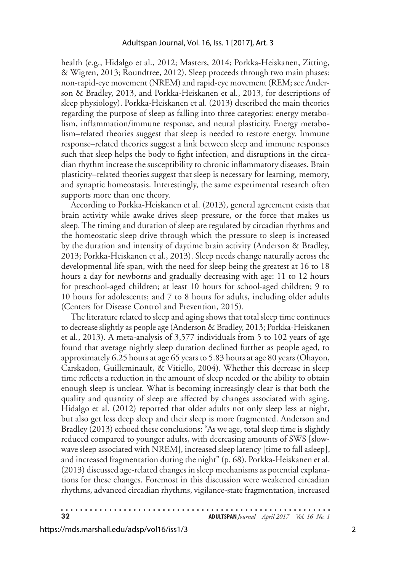health (e.g., Hidalgo et al., 2012; Masters, 2014; Porkka-Heiskanen, Zitting, & Wigren, 2013; Roundtree, 2012). Sleep proceeds through two main phases: non-rapid-eye movement (NREM) and rapid-eye movement (REM; see Anderson & Bradley, 2013, and Porkka-Heiskanen et al., 2013, for descriptions of sleep physiology). Porkka-Heiskanen et al. (2013) described the main theories regarding the purpose of sleep as falling into three categories: energy metabolism, inflammation/immune response, and neural plasticity. Energy metabolism–related theories suggest that sleep is needed to restore energy. Immune response–related theories suggest a link between sleep and immune responses such that sleep helps the body to fight infection, and disruptions in the circadian rhythm increase the susceptibility to chronic inflammatory diseases. Brain plasticity–related theories suggest that sleep is necessary for learning, memory, and synaptic homeostasis. Interestingly, the same experimental research often supports more than one theory.

According to Porkka-Heiskanen et al. (2013), general agreement exists that brain activity while awake drives sleep pressure, or the force that makes us sleep. The timing and duration of sleep are regulated by circadian rhythms and the homeostatic sleep drive through which the pressure to sleep is increased by the duration and intensity of daytime brain activity (Anderson & Bradley, 2013; Porkka-Heiskanen et al., 2013). Sleep needs change naturally across the developmental life span, with the need for sleep being the greatest at 16 to 18 hours a day for newborns and gradually decreasing with age: 11 to 12 hours for preschool-aged children; at least 10 hours for school-aged children; 9 to 10 hours for adolescents; and 7 to 8 hours for adults, including older adults (Centers for Disease Control and Prevention, 2015).

The literature related to sleep and aging shows that total sleep time continues to decrease slightly as people age (Anderson & Bradley, 2013; Porkka-Heiskanen et al., 2013). A meta-analysis of 3,577 individuals from 5 to 102 years of age found that average nightly sleep duration declined further as people aged, to approximately 6.25 hours at age 65 years to 5.83 hours at age 80 years (Ohayon, Carskadon, Guilleminault, & Vitiello, 2004). Whether this decrease in sleep time reflects a reduction in the amount of sleep needed or the ability to obtain enough sleep is unclear. What is becoming increasingly clear is that both the quality and quantity of sleep are affected by changes associated with aging. Hidalgo et al. (2012) reported that older adults not only sleep less at night, but also get less deep sleep and their sleep is more fragmented. Anderson and Bradley (2013) echoed these conclusions: "As we age, total sleep time is slightly reduced compared to younger adults, with decreasing amounts of SWS [slowwave sleep associated with NREM], increased sleep latency [time to fall asleep], and increased fragmentation during the night" (p. 68). Porkka-Heiskanen et al. (2013) discussed age-related changes in sleep mechanisms as potential explanations for these changes. Foremost in this discussion were weakened circadian rhythms, advanced circadian rhythms, vigilance-state fragmentation, increased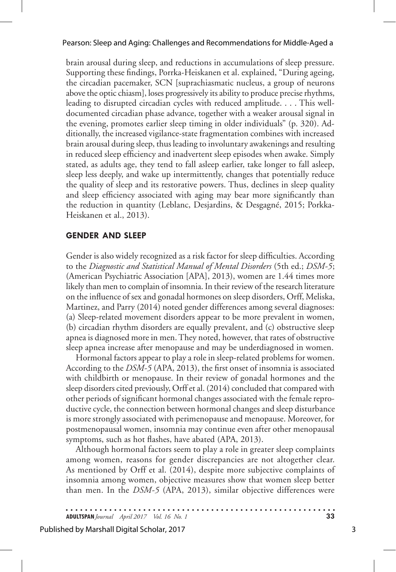brain arousal during sleep, and reductions in accumulations of sleep pressure. Supporting these findings, Porrka-Heiskanen et al. explained, "During ageing, the circadian pacemaker, SCN [suprachiasmatic nucleus, a group of neurons above the optic chiasm], loses progressively its ability to produce precise rhythms, leading to disrupted circadian cycles with reduced amplitude. . . . This welldocumented circadian phase advance, together with a weaker arousal signal in the evening, promotes earlier sleep timing in older individuals" (p. 320). Additionally, the increased vigilance-state fragmentation combines with increased brain arousal during sleep, thus leading to involuntary awakenings and resulting in reduced sleep efficiency and inadvertent sleep episodes when awake. Simply stated, as adults age, they tend to fall asleep earlier, take longer to fall asleep, sleep less deeply, and wake up intermittently, changes that potentially reduce the quality of sleep and its restorative powers. Thus, declines in sleep quality and sleep efficiency associated with aging may bear more significantly than the reduction in quantity (Leblanc, Desjardins, & Desgagné, 2015; Porkka-Heiskanen et al., 2013).

#### **GENDER AND SLEEP**

Gender is also widely recognized as a risk factor for sleep difficulties. According to the *Diagnostic and Statistical Manual of Mental Disorders* (5th ed.; *DSM-5*; (American Psychiatric Association [APA], 2013), women are 1.44 times more likely than men to complain of insomnia. In their review of the research literature on the influence of sex and gonadal hormones on sleep disorders, Orff, Meliska, Martinez, and Parry (2014) noted gender differences among several diagnoses: (a) Sleep-related movement disorders appear to be more prevalent in women, (b) circadian rhythm disorders are equally prevalent, and (c) obstructive sleep apnea is diagnosed more in men. They noted, however, that rates of obstructive sleep apnea increase after menopause and may be underdiagnosed in women.

Hormonal factors appear to play a role in sleep-related problems for women. According to the *DSM-5* (APA, 2013), the first onset of insomnia is associated with childbirth or menopause. In their review of gonadal hormones and the sleep disorders cited previously, Orff et al. (2014) concluded that compared with other periods of significant hormonal changes associated with the female reproductive cycle, the connection between hormonal changes and sleep disturbance is more strongly associated with perimenopause and menopause. Moreover, for postmenopausal women, insomnia may continue even after other menopausal symptoms, such as hot flashes, have abated (APA, 2013).

Although hormonal factors seem to play a role in greater sleep complaints among women, reasons for gender discrepancies are not altogether clear. As mentioned by Orff et al. (2014), despite more subjective complaints of insomnia among women, objective measures show that women sleep better than men. In the *DSM-5* (APA, 2013), similar objective differences were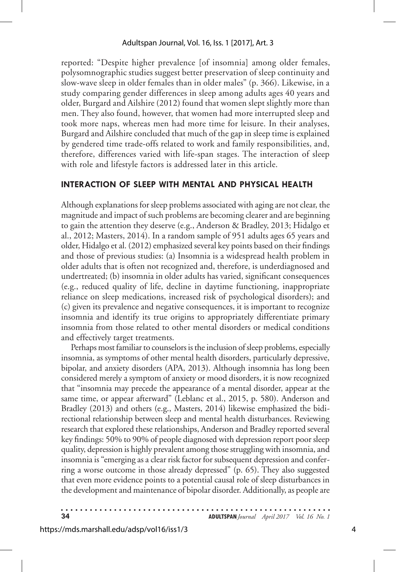reported: "Despite higher prevalence [of insomnia] among older females, polysomnographic studies suggest better preservation of sleep continuity and slow-wave sleep in older females than in older males" (p. 366). Likewise, in a study comparing gender differences in sleep among adults ages 40 years and older, Burgard and Ailshire (2012) found that women slept slightly more than men. They also found, however, that women had more interrupted sleep and took more naps, whereas men had more time for leisure. In their analyses, Burgard and Ailshire concluded that much of the gap in sleep time is explained by gendered time trade-offs related to work and family responsibilities, and, therefore, differences varied with life-span stages. The interaction of sleep with role and lifestyle factors is addressed later in this article.

### **INTERACTION OF SLEEP WITH MENTAL AND PHYSICAL HEALTH**

Although explanations for sleep problems associated with aging are not clear, the magnitude and impact of such problems are becoming clearer and are beginning to gain the attention they deserve (e.g., Anderson & Bradley, 2013; Hidalgo et al., 2012; Masters, 2014). In a random sample of 951 adults ages 65 years and older, Hidalgo et al. (2012) emphasized several key points based on their findings and those of previous studies: (a) Insomnia is a widespread health problem in older adults that is often not recognized and, therefore, is underdiagnosed and undertreated; (b) insomnia in older adults has varied, significant consequences (e.g., reduced quality of life, decline in daytime functioning, inappropriate reliance on sleep medications, increased risk of psychological disorders); and (c) given its prevalence and negative consequences, it is important to recognize insomnia and identify its true origins to appropriately differentiate primary insomnia from those related to other mental disorders or medical conditions and effectively target treatments.

Perhaps most familiar to counselors is the inclusion of sleep problems, especially insomnia, as symptoms of other mental health disorders, particularly depressive, bipolar, and anxiety disorders (APA, 2013). Although insomnia has long been considered merely a symptom of anxiety or mood disorders, it is now recognized that "insomnia may precede the appearance of a mental disorder, appear at the same time, or appear afterward" (Leblanc et al., 2015, p. 580). Anderson and Bradley (2013) and others (e.g., Masters, 2014) likewise emphasized the bidirectional relationship between sleep and mental health disturbances. Reviewing research that explored these relationships, Anderson and Bradley reported several key findings: 50% to 90% of people diagnosed with depression report poor sleep quality, depression is highly prevalent among those struggling with insomnia, and insomnia is "emerging as a clear risk factor for subsequent depression and conferring a worse outcome in those already depressed" (p. 65). They also suggested that even more evidence points to a potential causal role of sleep disturbances in the development and maintenance of bipolar disorder. Additionally, as people are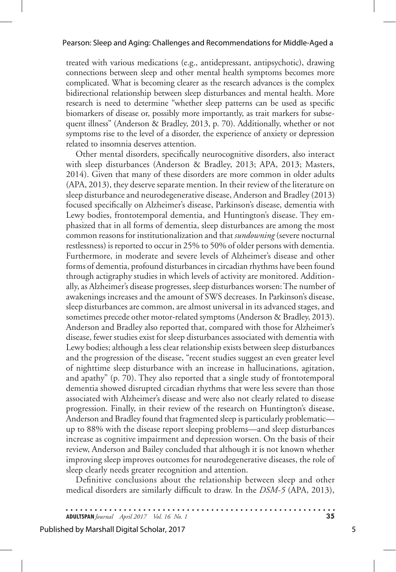treated with various medications (e.g., antidepressant, antipsychotic), drawing connections between sleep and other mental health symptoms becomes more complicated. What is becoming clearer as the research advances is the complex bidirectional relationship between sleep disturbances and mental health. More research is need to determine "whether sleep patterns can be used as specific biomarkers of disease or, possibly more importantly, as trait markers for subsequent illness" (Anderson & Bradley, 2013, p. 70). Additionally, whether or not symptoms rise to the level of a disorder, the experience of anxiety or depression related to insomnia deserves attention.

Other mental disorders, specifically neurocognitive disorders, also interact with sleep disturbances (Anderson & Bradley, 2013; APA, 2013; Masters, 2014). Given that many of these disorders are more common in older adults (APA, 2013), they deserve separate mention. In their review of the literature on sleep disturbance and neurodegenerative disease, Anderson and Bradley (2013) focused specifically on Alzheimer's disease, Parkinson's disease, dementia with Lewy bodies, frontotemporal dementia, and Huntington's disease. They emphasized that in all forms of dementia, sleep disturbances are among the most common reasons for institutionalization and that *sundowning* (severe nocturnal restlessness) is reported to occur in 25% to 50% of older persons with dementia. Furthermore, in moderate and severe levels of Alzheimer's disease and other forms of dementia, profound disturbances in circadian rhythms have been found through actigraphy studies in which levels of activity are monitored. Additionally, as Alzheimer's disease progresses, sleep disturbances worsen: The number of awakenings increases and the amount of SWS decreases. In Parkinson's disease, sleep disturbances are common, are almost universal in its advanced stages, and sometimes precede other motor-related symptoms (Anderson & Bradley, 2013). Anderson and Bradley also reported that, compared with those for Alzheimer's disease, fewer studies exist for sleep disturbances associated with dementia with Lewy bodies; although a less clear relationship exists between sleep disturbances and the progression of the disease, "recent studies suggest an even greater level of nighttime sleep disturbance with an increase in hallucinations, agitation, and apathy" (p. 70). They also reported that a single study of frontotemporal dementia showed disrupted circadian rhythms that were less severe than those associated with Alzheimer's disease and were also not clearly related to disease progression. Finally, in their review of the research on Huntington's disease, Anderson and Bradley found that fragmented sleep is particularly problematic up to 88% with the disease report sleeping problems—and sleep disturbances increase as cognitive impairment and depression worsen. On the basis of their review, Anderson and Bailey concluded that although it is not known whether improving sleep improves outcomes for neurodegenerative diseases, the role of sleep clearly needs greater recognition and attention.

Definitive conclusions about the relationship between sleep and other medical disorders are similarly difficult to draw. In the *DSM-5* (APA, 2013),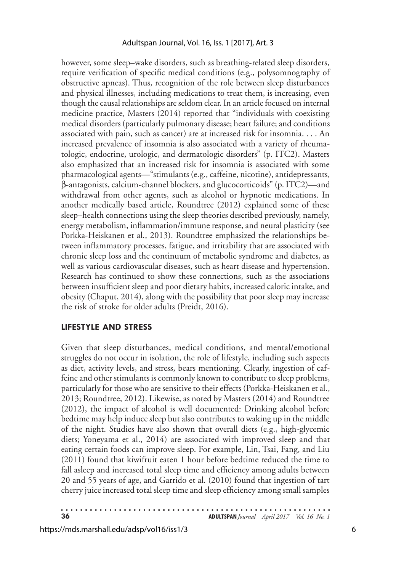however, some sleep–wake disorders, such as breathing-related sleep disorders, require verification of specific medical conditions (e.g., polysomnography of obstructive apneas). Thus, recognition of the role between sleep disturbances and physical illnesses, including medications to treat them, is increasing, even though the causal relationships are seldom clear. In an article focused on internal medicine practice, Masters (2014) reported that "individuals with coexisting medical disorders (particularly pulmonary disease; heart failure; and conditions associated with pain, such as cancer) are at increased risk for insomnia. . . . An increased prevalence of insomnia is also associated with a variety of rheumatologic, endocrine, urologic, and dermatologic disorders" (p. ITC2). Masters also emphasized that an increased risk for insomnia is associated with some pharmacological agents—"stimulants (e.g., caffeine, nicotine), antidepressants, b-antagonists, calcium-channel blockers, and glucocorticoids" (p. ITC2)—and withdrawal from other agents, such as alcohol or hypnotic medications. In another medically based article, Roundtree (2012) explained some of these sleep–health connections using the sleep theories described previously, namely, energy metabolism, inflammation/immune response, and neural plasticity (see Porkka-Heiskanen et al., 2013). Roundtree emphasized the relationships between inflammatory processes, fatigue, and irritability that are associated with chronic sleep loss and the continuum of metabolic syndrome and diabetes, as well as various cardiovascular diseases, such as heart disease and hypertension. Research has continued to show these connections, such as the associations between insufficient sleep and poor dietary habits, increased caloric intake, and obesity (Chaput, 2014), along with the possibility that poor sleep may increase the risk of stroke for older adults (Preidt, 2016).

## **LIFESTYLE AND STRESS**

Given that sleep disturbances, medical conditions, and mental/emotional struggles do not occur in isolation, the role of lifestyle, including such aspects as diet, activity levels, and stress, bears mentioning. Clearly, ingestion of caffeine and other stimulants is commonly known to contribute to sleep problems, particularly for those who are sensitive to their effects (Porkka-Heiskanen et al., 2013; Roundtree, 2012). Likewise, as noted by Masters (2014) and Roundtree (2012), the impact of alcohol is well documented: Drinking alcohol before bedtime may help induce sleep but also contributes to waking up in the middle of the night. Studies have also shown that overall diets (e.g., high-glycemic diets; Yoneyama et al., 2014) are associated with improved sleep and that eating certain foods can improve sleep. For example, Lin, Tsai, Fang, and Liu (2011) found that kiwifruit eaten 1 hour before bedtime reduced the time to fall asleep and increased total sleep time and efficiency among adults between 20 and 55 years of age, and Garrido et al. (2010) found that ingestion of tart cherry juice increased total sleep time and sleep efficiency among small samples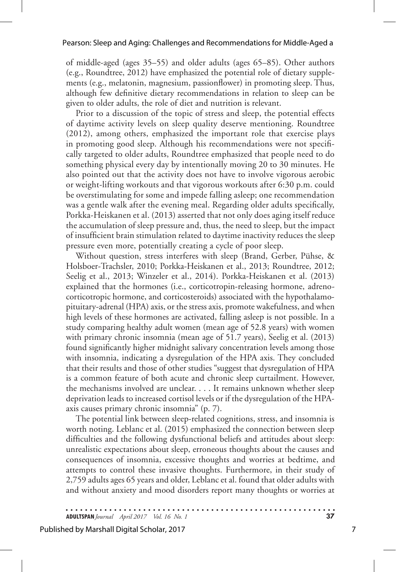of middle-aged (ages 35–55) and older adults (ages 65–85). Other authors (e.g., Roundtree, 2012) have emphasized the potential role of dietary supplements (e.g., melatonin, magnesium, passionflower) in promoting sleep. Thus, although few definitive dietary recommendations in relation to sleep can be given to older adults, the role of diet and nutrition is relevant.

Prior to a discussion of the topic of stress and sleep, the potential effects of daytime activity levels on sleep quality deserve mentioning. Roundtree (2012), among others, emphasized the important role that exercise plays in promoting good sleep. Although his recommendations were not specifically targeted to older adults, Roundtree emphasized that people need to do something physical every day by intentionally moving 20 to 30 minutes. He also pointed out that the activity does not have to involve vigorous aerobic or weight-lifting workouts and that vigorous workouts after 6:30 p.m. could be overstimulating for some and impede falling asleep; one recommendation was a gentle walk after the evening meal. Regarding older adults specifically, Porkka-Heiskanen et al. (2013) asserted that not only does aging itself reduce the accumulation of sleep pressure and, thus, the need to sleep, but the impact of insufficient brain stimulation related to daytime inactivity reduces the sleep pressure even more, potentially creating a cycle of poor sleep.

Without question, stress interferes with sleep (Brand, Gerber, Pühse, & Holsboer-Trachsler, 2010; Porkka-Heiskanen et al., 2013; Roundtree, 2012; Seelig et al., 2013; Winzeler et al., 2014). Porkka-Heiskanen et al. (2013) explained that the hormones (i.e., corticotropin-releasing hormone, adrenocorticotropic hormone, and corticosteroids) associated with the hypothalamopituitary-adrenal (HPA) axis, or the stress axis, promote wakefulness, and when high levels of these hormones are activated, falling asleep is not possible. In a study comparing healthy adult women (mean age of 52.8 years) with women with primary chronic insomnia (mean age of 51.7 years), Seelig et al. (2013) found significantly higher midnight salivary concentration levels among those with insomnia, indicating a dysregulation of the HPA axis. They concluded that their results and those of other studies "suggest that dysregulation of HPA is a common feature of both acute and chronic sleep curtailment. However, the mechanisms involved are unclear. . . . It remains unknown whether sleep deprivation leads to increased cortisol levels or if the dysregulation of the HPAaxis causes primary chronic insomnia" (p. 7).

The potential link between sleep-related cognitions, stress, and insomnia is worth noting. Leblanc et al. (2015) emphasized the connection between sleep difficulties and the following dysfunctional beliefs and attitudes about sleep: unrealistic expectations about sleep, erroneous thoughts about the causes and consequences of insomnia, excessive thoughts and worries at bedtime, and attempts to control these invasive thoughts. Furthermore, in their study of 2,759 adults ages 65 years and older, Leblanc et al. found that older adults with and without anxiety and mood disorders report many thoughts or worries at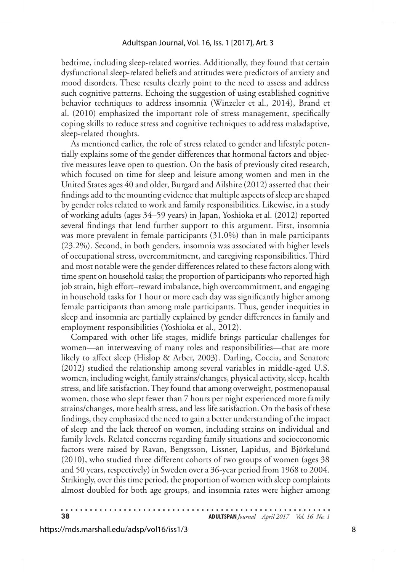bedtime, including sleep-related worries. Additionally, they found that certain dysfunctional sleep-related beliefs and attitudes were predictors of anxiety and mood disorders. These results clearly point to the need to assess and address such cognitive patterns. Echoing the suggestion of using established cognitive behavior techniques to address insomnia (Winzeler et al., 2014), Brand et al. (2010) emphasized the important role of stress management, specifically coping skills to reduce stress and cognitive techniques to address maladaptive, sleep-related thoughts.

As mentioned earlier, the role of stress related to gender and lifestyle potentially explains some of the gender differences that hormonal factors and objective measures leave open to question. On the basis of previously cited research, which focused on time for sleep and leisure among women and men in the United States ages 40 and older, Burgard and Ailshire (2012) asserted that their findings add to the mounting evidence that multiple aspects of sleep are shaped by gender roles related to work and family responsibilities. Likewise, in a study of working adults (ages 34–59 years) in Japan, Yoshioka et al. (2012) reported several findings that lend further support to this argument. First, insomnia was more prevalent in female participants (31.0%) than in male participants (23.2%). Second, in both genders, insomnia was associated with higher levels of occupational stress, overcommitment, and caregiving responsibilities. Third and most notable were the gender differences related to these factors along with time spent on household tasks; the proportion of participants who reported high job strain, high effort–reward imbalance, high overcommitment, and engaging in household tasks for 1 hour or more each day was significantly higher among female participants than among male participants. Thus, gender inequities in sleep and insomnia are partially explained by gender differences in family and employment responsibilities (Yoshioka et al., 2012).

Compared with other life stages, midlife brings particular challenges for women—an interweaving of many roles and responsibilities—that are more likely to affect sleep (Hislop & Arber, 2003). Darling, Coccia, and Senatore (2012) studied the relationship among several variables in middle-aged U.S. women, including weight, family strains/changes, physical activity, sleep, health stress, and life satisfaction. They found that among overweight, postmenopausal women, those who slept fewer than 7 hours per night experienced more family strains/changes, more health stress, and less life satisfaction. On the basis of these findings, they emphasized the need to gain a better understanding of the impact of sleep and the lack thereof on women, including strains on individual and family levels. Related concerns regarding family situations and socioeconomic factors were raised by Ravan, Bengtsson, Lissner, Lapidus, and Björkelund (2010), who studied three different cohorts of two groups of women (ages 38 and 50 years, respectively) in Sweden over a 36-year period from 1968 to 2004. Strikingly, over this time period, the proportion of women with sleep complaints almost doubled for both age groups, and insomnia rates were higher among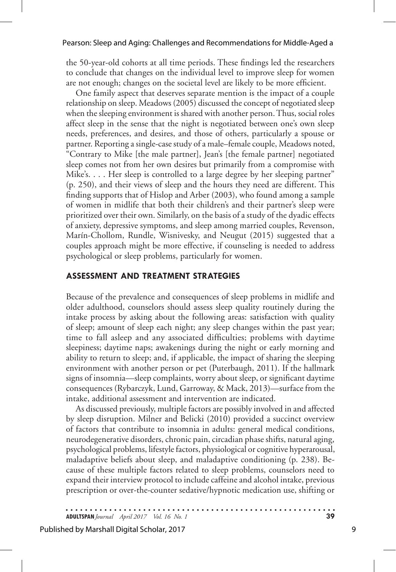the 50-year-old cohorts at all time periods. These findings led the researchers to conclude that changes on the individual level to improve sleep for women are not enough; changes on the societal level are likely to be more efficient.

One family aspect that deserves separate mention is the impact of a couple relationship on sleep. Meadows (2005) discussed the concept of negotiated sleep when the sleeping environment is shared with another person. Thus, social roles affect sleep in the sense that the night is negotiated between one's own sleep needs, preferences, and desires, and those of others, particularly a spouse or partner. Reporting a single-case study of a male–female couple, Meadows noted, "Contrary to Mike [the male partner], Jean's [the female partner] negotiated sleep comes not from her own desires but primarily from a compromise with Mike's. . . . Her sleep is controlled to a large degree by her sleeping partner" (p. 250), and their views of sleep and the hours they need are different. This finding supports that of Hislop and Arber (2003), who found among a sample of women in midlife that both their children's and their partner's sleep were prioritized over their own. Similarly, on the basis of a study of the dyadic effects of anxiety, depressive symptoms, and sleep among married couples, Revenson, Marín-Chollom, Rundle, Wisnivesky, and Neugut (2015) suggested that a couples approach might be more effective, if counseling is needed to address psychological or sleep problems, particularly for women.

#### **ASSESSMENT AND TREATMENT STRATEGIES**

Because of the prevalence and consequences of sleep problems in midlife and older adulthood, counselors should assess sleep quality routinely during the intake process by asking about the following areas: satisfaction with quality of sleep; amount of sleep each night; any sleep changes within the past year; time to fall asleep and any associated difficulties; problems with daytime sleepiness; daytime naps; awakenings during the night or early morning and ability to return to sleep; and, if applicable, the impact of sharing the sleeping environment with another person or pet (Puterbaugh, 2011). If the hallmark signs of insomnia—sleep complaints, worry about sleep, or significant daytime consequences (Rybarczyk, Lund, Garroway, & Mack, 2013)—surface from the intake, additional assessment and intervention are indicated.

As discussed previously, multiple factors are possibly involved in and affected by sleep disruption. Milner and Belicki (2010) provided a succinct overview of factors that contribute to insomnia in adults: general medical conditions, neurodegenerative disorders, chronic pain, circadian phase shifts, natural aging, psychological problems, lifestyle factors, physiological or cognitive hyperarousal, maladaptive beliefs about sleep, and maladaptive conditioning (p. 238). Because of these multiple factors related to sleep problems, counselors need to expand their interview protocol to include caffeine and alcohol intake, previous prescription or over-the-counter sedative/hypnotic medication use, shifting or

**ADULTSPAN***Journal April 2017 Vol. 16 No. 1* **39**

#### Published by Marshall Digital Scholar, 2017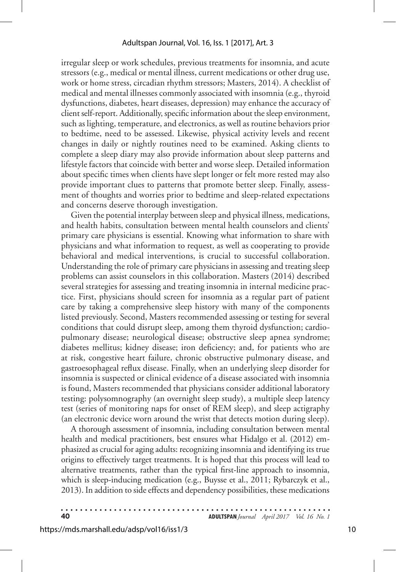irregular sleep or work schedules, previous treatments for insomnia, and acute stressors (e.g., medical or mental illness, current medications or other drug use, work or home stress, circadian rhythm stressors; Masters, 2014). A checklist of medical and mental illnesses commonly associated with insomnia (e.g., thyroid dysfunctions, diabetes, heart diseases, depression) may enhance the accuracy of client self-report. Additionally, specific information about the sleep environment, such as lighting, temperature, and electronics, as well as routine behaviors prior to bedtime, need to be assessed. Likewise, physical activity levels and recent changes in daily or nightly routines need to be examined. Asking clients to complete a sleep diary may also provide information about sleep patterns and lifestyle factors that coincide with better and worse sleep. Detailed information about specific times when clients have slept longer or felt more rested may also provide important clues to patterns that promote better sleep. Finally, assessment of thoughts and worries prior to bedtime and sleep-related expectations and concerns deserve thorough investigation.

Given the potential interplay between sleep and physical illness, medications, and health habits, consultation between mental health counselors and clients' primary care physicians is essential. Knowing what information to share with physicians and what information to request, as well as cooperating to provide behavioral and medical interventions, is crucial to successful collaboration. Understanding the role of primary care physicians in assessing and treating sleep problems can assist counselors in this collaboration. Masters (2014) described several strategies for assessing and treating insomnia in internal medicine practice. First, physicians should screen for insomnia as a regular part of patient care by taking a comprehensive sleep history with many of the components listed previously. Second, Masters recommended assessing or testing for several conditions that could disrupt sleep, among them thyroid dysfunction; cardiopulmonary disease; neurological disease; obstructive sleep apnea syndrome; diabetes mellitus; kidney disease; iron deficiency; and, for patients who are at risk, congestive heart failure, chronic obstructive pulmonary disease, and gastroesophageal reflux disease. Finally, when an underlying sleep disorder for insomnia is suspected or clinical evidence of a disease associated with insomnia is found, Masters recommended that physicians consider additional laboratory testing: polysomnography (an overnight sleep study), a multiple sleep latency test (series of monitoring naps for onset of REM sleep), and sleep actigraphy (an electronic device worn around the wrist that detects motion during sleep).

A thorough assessment of insomnia, including consultation between mental health and medical practitioners, best ensures what Hidalgo et al. (2012) emphasized as crucial for aging adults: recognizing insomnia and identifying its true origins to effectively target treatments. It is hoped that this process will lead to alternative treatments, rather than the typical first-line approach to insomnia, which is sleep-inducing medication (e.g., Buysse et al., 2011; Rybarczyk et al., 2013). In addition to side effects and dependency possibilities, these medications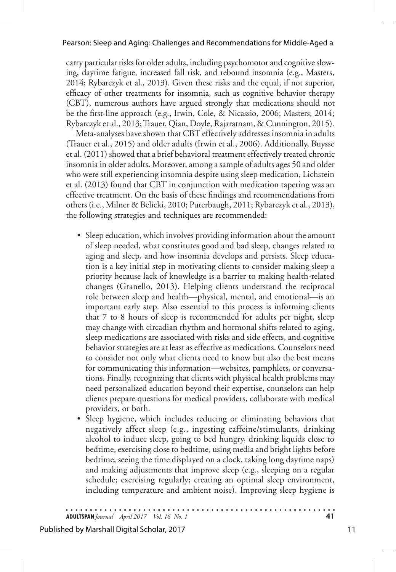carry particular risks for older adults, including psychomotor and cognitive slowing, daytime fatigue, increased fall risk, and rebound insomnia (e.g., Masters, 2014; Rybarczyk et al., 2013). Given these risks and the equal, if not superior, efficacy of other treatments for insomnia, such as cognitive behavior therapy (CBT), numerous authors have argued strongly that medications should not be the first-line approach (e.g., Irwin, Cole, & Nicassio, 2006; Masters, 2014; Rybarczyk et al., 2013; Trauer, Qian, Doyle, Rajaratnam, & Cunnington, 2015).

Meta-analyses have shown that CBT effectively addresses insomnia in adults (Trauer et al., 2015) and older adults (Irwin et al., 2006). Additionally, Buysse et al. (2011) showed that a brief behavioral treatment effectively treated chronic insomnia in older adults. Moreover, among a sample of adults ages 50 and older who were still experiencing insomnia despite using sleep medication, Lichstein et al. (2013) found that CBT in conjunction with medication tapering was an effective treatment. On the basis of these findings and recommendations from others (i.e., Milner & Belicki, 2010; Puterbaugh, 2011; Rybarczyk et al., 2013), the following strategies and techniques are recommended:

- Sleep education, which involves providing information about the amount of sleep needed, what constitutes good and bad sleep, changes related to aging and sleep, and how insomnia develops and persists. Sleep education is a key initial step in motivating clients to consider making sleep a priority because lack of knowledge is a barrier to making health-related changes (Granello, 2013). Helping clients understand the reciprocal role between sleep and health—physical, mental, and emotional—is an important early step. Also essential to this process is informing clients that 7 to 8 hours of sleep is recommended for adults per night, sleep may change with circadian rhythm and hormonal shifts related to aging, sleep medications are associated with risks and side effects, and cognitive behavior strategies are at least as effective as medications. Counselors need to consider not only what clients need to know but also the best means for communicating this information—websites, pamphlets, or conversations. Finally, recognizing that clients with physical health problems may need personalized education beyond their expertise, counselors can help clients prepare questions for medical providers, collaborate with medical providers, or both.
- Sleep hygiene, which includes reducing or eliminating behaviors that negatively affect sleep (e.g., ingesting caffeine/stimulants, drinking alcohol to induce sleep, going to bed hungry, drinking liquids close to bedtime, exercising close to bedtime, using media and bright lights before bedtime, seeing the time displayed on a clock, taking long daytime naps) and making adjustments that improve sleep (e.g., sleeping on a regular schedule; exercising regularly; creating an optimal sleep environment, including temperature and ambient noise). Improving sleep hygiene is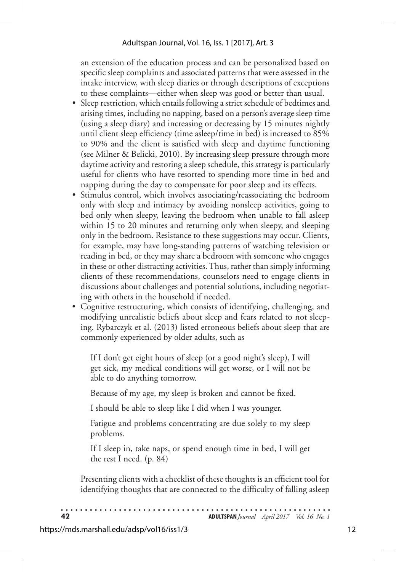#### Adultspan Journal, Vol. 16, Iss. 1 [2017], Art. 3

an extension of the education process and can be personalized based on specific sleep complaints and associated patterns that were assessed in the intake interview, with sleep diaries or through descriptions of exceptions to these complaints—either when sleep was good or better than usual.

- Sleep restriction, which entails following a strict schedule of bedtimes and arising times, including no napping, based on a person's average sleep time (using a sleep diary) and increasing or decreasing by 15 minutes nightly until client sleep efficiency (time asleep/time in bed) is increased to 85% to 90% and the client is satisfied with sleep and daytime functioning (see Milner & Belicki, 2010). By increasing sleep pressure through more daytime activity and restoring a sleep schedule, this strategy is particularly useful for clients who have resorted to spending more time in bed and napping during the day to compensate for poor sleep and its effects.
- Stimulus control, which involves associating/reassociating the bedroom only with sleep and intimacy by avoiding nonsleep activities, going to bed only when sleepy, leaving the bedroom when unable to fall asleep within 15 to 20 minutes and returning only when sleepy, and sleeping only in the bedroom. Resistance to these suggestions may occur. Clients, for example, may have long-standing patterns of watching television or reading in bed, or they may share a bedroom with someone who engages in these or other distracting activities. Thus, rather than simply informing clients of these recommendations, counselors need to engage clients in discussions about challenges and potential solutions, including negotiating with others in the household if needed.
- Cognitive restructuring, which consists of identifying, challenging, and modifying unrealistic beliefs about sleep and fears related to not sleeping. Rybarczyk et al. (2013) listed erroneous beliefs about sleep that are commonly experienced by older adults, such as

If I don't get eight hours of sleep (or a good night's sleep), I will get sick, my medical conditions will get worse, or I will not be able to do anything tomorrow.

Because of my age, my sleep is broken and cannot be fixed.

I should be able to sleep like I did when I was younger.

Fatigue and problems concentrating are due solely to my sleep problems.

If I sleep in, take naps, or spend enough time in bed, I will get the rest I need. (p. 84)

 Presenting clients with a checklist of these thoughts is an efficient tool for identifying thoughts that are connected to the difficulty of falling asleep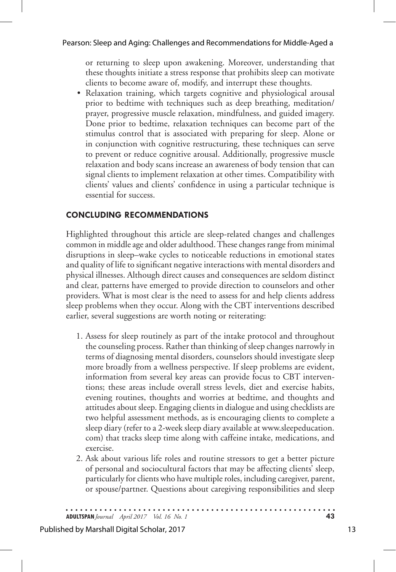or returning to sleep upon awakening. Moreover, understanding that these thoughts initiate a stress response that prohibits sleep can motivate clients to become aware of, modify, and interrupt these thoughts.

• Relaxation training, which targets cognitive and physiological arousal prior to bedtime with techniques such as deep breathing, meditation/ prayer, progressive muscle relaxation, mindfulness, and guided imagery. Done prior to bedtime, relaxation techniques can become part of the stimulus control that is associated with preparing for sleep. Alone or in conjunction with cognitive restructuring, these techniques can serve to prevent or reduce cognitive arousal. Additionally, progressive muscle relaxation and body scans increase an awareness of body tension that can signal clients to implement relaxation at other times. Compatibility with clients' values and clients' confidence in using a particular technique is essential for success.

# **CONCLUDING RECOMMENDATIONS**

Highlighted throughout this article are sleep-related changes and challenges common in middle age and older adulthood. These changes range from minimal disruptions in sleep–wake cycles to noticeable reductions in emotional states and quality of life to significant negative interactions with mental disorders and physical illnesses. Although direct causes and consequences are seldom distinct and clear, patterns have emerged to provide direction to counselors and other providers. What is most clear is the need to assess for and help clients address sleep problems when they occur. Along with the CBT interventions described earlier, several suggestions are worth noting or reiterating:

- 1. Assess for sleep routinely as part of the intake protocol and throughout the counseling process. Rather than thinking of sleep changes narrowly in terms of diagnosing mental disorders, counselors should investigate sleep more broadly from a wellness perspective. If sleep problems are evident, information from several key areas can provide focus to CBT interventions; these areas include overall stress levels, diet and exercise habits, evening routines, thoughts and worries at bedtime, and thoughts and attitudes about sleep. Engaging clients in dialogue and using checklists are two helpful assessment methods, as is encouraging clients to complete a sleep diary (refer to a 2-week sleep diary available at www.sleepeducation. com) that tracks sleep time along with caffeine intake, medications, and exercise.
- 2. Ask about various life roles and routine stressors to get a better picture of personal and sociocultural factors that may be affecting clients' sleep, particularly for clients who have multiple roles, including caregiver, parent, or spouse/partner. Questions about caregiving responsibilities and sleep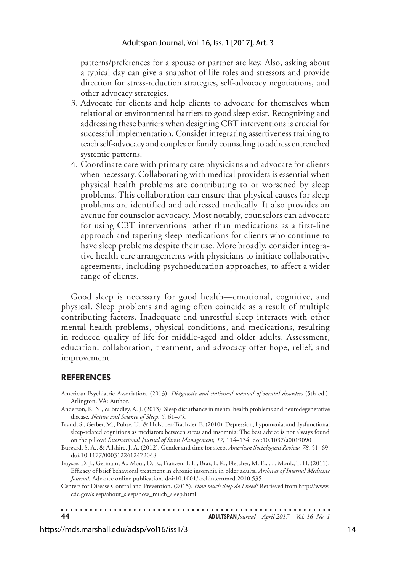patterns/preferences for a spouse or partner are key. Also, asking about a typical day can give a snapshot of life roles and stressors and provide direction for stress-reduction strategies, self-advocacy negotiations, and other advocacy strategies.

- 3. Advocate for clients and help clients to advocate for themselves when relational or environmental barriers to good sleep exist. Recognizing and addressing these barriers when designing CBT interventions is crucial for successful implementation. Consider integrating assertiveness training to teach self-advocacy and couples or family counseling to address entrenched systemic patterns.
- 4. Coordinate care with primary care physicians and advocate for clients when necessary. Collaborating with medical providers is essential when physical health problems are contributing to or worsened by sleep problems. This collaboration can ensure that physical causes for sleep problems are identified and addressed medically. It also provides an avenue for counselor advocacy. Most notably, counselors can advocate for using CBT interventions rather than medications as a first-line approach and tapering sleep medications for clients who continue to have sleep problems despite their use. More broadly, consider integrative health care arrangements with physicians to initiate collaborative agreements, including psychoeducation approaches, to affect a wider range of clients.

Good sleep is necessary for good health—emotional, cognitive, and physical. Sleep problems and aging often coincide as a result of multiple contributing factors. Inadequate and unrestful sleep interacts with other mental health problems, physical conditions, and medications, resulting in reduced quality of life for middle-aged and older adults. Assessment, education, collaboration, treatment, and advocacy offer hope, relief, and improvement.

#### **REFERENCES**

- American Psychiatric Association. (2013). *Diagnostic and statistical manual of mental disorders* (5th ed.). Arlington, VA: Author.
- Anderson, K. N., & Bradley, A. J. (2013). Sleep disturbance in mental health problems and neurodegenerative disease. *Nature and Science of Sleep, 5,* 61–75.
- Brand, S., Gerber, M., Pühse, U., & Holsboer-Trachsler, E. (2010). Depression, hypomania, and dysfunctional sleep-related cognitions as mediators between stress and insomnia: The best advice is not always found on the pillow! *International Journal of Stress Management, 17,* 114–134. doi:10.1037/a0019090
- Burgard, S. A., & Ailshire, J. A. (2012). Gender and time for sleep. *American Sociological Review, 78,* 51–69. doi:10.1177/0003122412472048
- Buysse, D. J., Germain, A., Moul, D. E., Franzen, P. L., Brar, L. K., Fletcher, M. E., . . . Monk, T. H. (2011). Efficacy of brief behavioral treatment in chronic insomnia in older adults. *Archives of Internal Medicine Journal.* Advance online publication. doi:10.1001/archinternmed.2010.535
- Centers for Disease Control and Prevention. (2015). *How much sleep do I need?* Retrieved from http://www. cdc.gov/sleep/about\_sleep/how\_much\_sleep.html

. . . . . . . . . . . . . . . . . . . . **44 ADULTSPAN***Journal April 2017 Vol. 16 No. 1*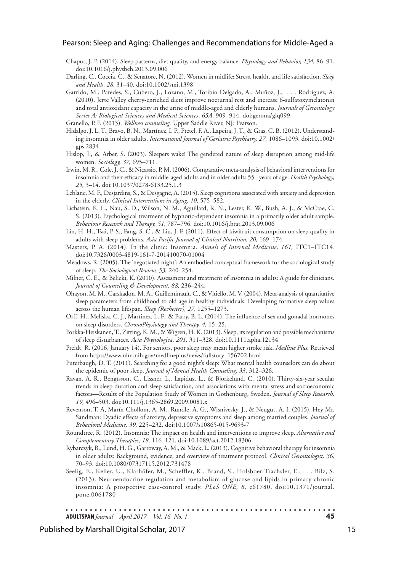- Chaput, J. P. (2014). Sleep patterns, diet quality, and energy balance. *Physiology and Behavior, 134,* 86–91. doi:10.1016/j.physbeh.2013.09.006
- Darling, C., Coccia, C., & Senatore, N. (2012). Women in midlife: Stress, health, and life satisfaction. *Sleep and Health, 28,* 31–40. doi:10.1002/smi.1398
- Garrido, M., Paredes, S., Cubero, J., Lozano, M., Toribio-Delgado, A., Muñoz, J., . . . Rodríguez, A. (2010). Jerte Valley cherry-enriched diets improve nocturnal rest and increase 6-sulfatoxymelatonin and total antioxidant capacity in the urine of middle-aged and elderly humans. *Journals of Gerontology Series A: Biological Sciences and Medical Sciences*, *65A,* 909–914. doi:gerona/glq099
- Granello, P. F. (2013). *Wellness counseling.* Upper Saddle River, NJ: Pearson.
- Hidalgo, J. L. T., Bravo, B. N., Martínez, I. P., Pretel, F. A., Lapeira, J. T., & Gras, C. B. (2012). Understanding insomnia in older adults. *International Journal of Geriatric Psychiatry, 27,* 1086–1093. doi:10.1002/ gps.2834
- Hislop, J., & Arber, S. (2003). Sleepers wake! The gendered nature of sleep disruption among mid-life women. *Sociology, 37,* 695–711.
- Irwin, M. R., Cole, J. C., & Nicassio, P. M. (2006). Comparative meta-analysis of behavioral interventions for insomnia and their efficacy in middle-aged adults and in older adults 55+ years of age. *Health Psychology, 25,* 3–14. doi:10.1037/0278-6133.25.1.3
- Leblanc, M. F., Desjardins, S., & Desgagné, A. (2015). Sleep cognitions associated with anxiety and depression in the elderly. *Clinical Interventions in Aging, 10,* 575–582.
- Lichstein, K. L., Nau, S. D., Wilson, N. M., Aguillard, R. N., Lester, K. W., Bush, A. J., & McCrae, C. S. (2013). Psychological treatment of hypnotic-dependent insomnia in a primarily older adult sample. *Behaviour Research and Therapy, 51,* 787–796. doi:10.1016/j.brat.2013.09.006
- Lin, H. H., Tsai, P. S., Fang, S. C., & Liu, J. F. (2011). Effect of kiwifruit consumption on sleep quality in adults with sleep problems. Asia Pacific Journal of Clinical Nutrition, 20, 169-174.
- Masters, P. A. (2014). In the clinic: Insomnia. *Annals of Internal Medicine, 161,* ITC1–ITC14. doi:10.7326/0003-4819-161-7-201410070-01004
- Meadows, R. (2005). The 'negotiated night': An embodied conceptual framework for the sociological study of sleep. *The Sociological Review, 53,* 240–254.
- Milner, C. E., & Belicki, K. (2010). Assessment and treatment of insomnia in adults: A guide for clinicians. *Journal of Counseling & Development, 88,* 236–244.
- Ohayon, M. M., Carskadon, M. A., Guilleminault, C., & Vitiello, M. V. (2004). Meta-analysis of quantitative sleep parameters from childhood to old age in healthy individuals: Developing formative sleep values across the human lifespan. *Sleep (Rochester), 27,* 1255–1273.
- Orff, H., Meliska, C. J., Martinez, L. F., & Parry, B. L. (2014). The influence of sex and gonadal hormones on sleep disorders. *ChronoPhysiology and Therapy, 4,* 15–25.
- Porkka-Heiskanen, T., Zitting, K. M., & Wigren, H. K. (2013). Sleep, its regulation and possible mechanisms of sleep disturbances. *Acta Physiologica, 201,* 311–328. doi:10.1111.apha.12134
- Preidt, R. (2016, January 14). For seniors, poor sleep may mean higher stroke risk. *Medline Plus.* Retrieved from https://www.nlm.nih.gov/medlineplus/news/fullstory\_156702.html
- Puterbaugh, D. T. (2011). Searching for a good night's sleep: What mental health counselors can do about the epidemic of poor sleep. *Journal of Mental Health Counseling, 33,* 312–326.
- Ravan, A. R., Bengtsson, C., Lissner, L., Lapidus, L., & Björkelund, C. (2010). Thirty-six-year secular trends in sleep duration and sleep satisfaction, and associations with mental stress and socioeconomic factors—Results of the Population Study of Women in Gothenburg, Sweden. *Journal of Sleep Research, 19,* 496–503. doi:10.111/j.1365-2869.2009.0081.x
- Revenson, T. A, Marín-Chollom, A. M., Rundle, A. G., Wisnivesky, J., & Neugut, A. I. (2015). Hey Mr. Sandman: Dyadic effects of anxiety, depressive symptoms and sleep among married couples. *Journal of Behavioral Medicine, 39,* 225–232. doi:10.1007/s10865-015-9693-7
- Roundtree, R. (2012). Insomnia: The impact on health and interventions to improve sleep. *Alternative and Complementary Therapies, 18,* 116–121. doi:10.1089/act.2012.18306
- Rybarczyk, B., Lund, H. G., Garroway, A. M., & Mack, L. (2013). Cognitive behavioral therapy for insomnia in older adults: Background, evidence, and overview of treatment protocol. *Clinical Gerontologist, 36,*  70–93. doi:10.1080/07317115.2012.731478
- Seelig, E., Keller, U., Klarhöfer, M., Scheffler, K., Brand, S., Holsboer-Trachsler, E., . . . Bilz, S. (2013). Neuroendocrine regulation and metabolism of glucose and lipids in primary chronic insomnia: A prospective case-control study. *PLoS ONE, 8,* e61780. doi:10.1371/journal. pone.0061780

**ADULTSPAN***Journal April 2017 Vol. 16 No. 1* **45**

#### Published by Marshall Digital Scholar, 2017